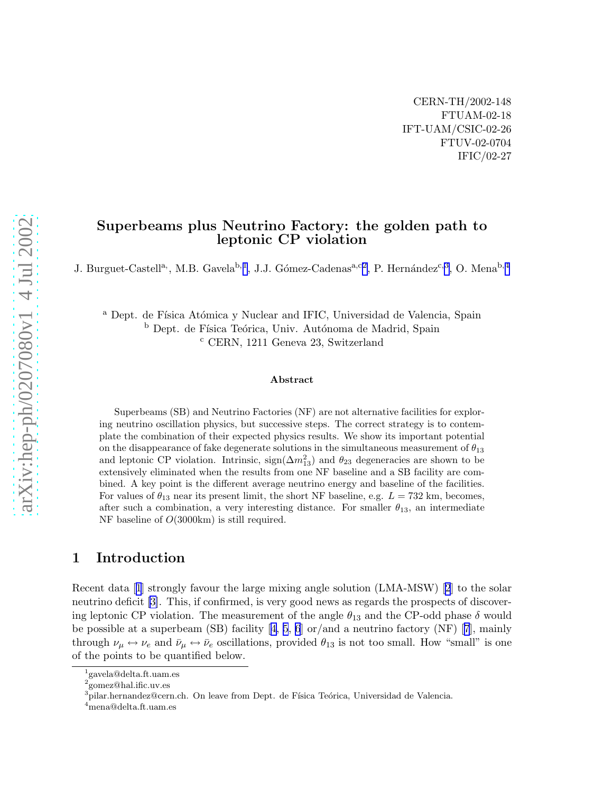CERN-TH/2002-148 FTUAM-02-18 IFT-UAM/CSIC-02-26 FTUV-02-0704 IFIC/02-27

### Superbeams plus Neutrino Factory: the golden path to leptonic CP violation

J. Burguet-Castell<sup>a,</sup>, M.B. Gavela<sup>b, 1</sup>, J.J. Gómez-Cadenas<sup>a, c2</sup>, P. Hernández<sup>c, 3</sup>, O. Mena<sup>b, 4</sup>

<sup>a</sup> Dept. de Física Atómica y Nuclear and IFIC, Universidad de Valencia, Spain <sup>b</sup> Dept. de Física Teórica, Univ. Autónoma de Madrid, Spain <sup>c</sup> CERN, 1211 Geneva 23, Switzerland

#### Abstract

Superbeams (SB) and Neutrino Factories (NF) are not alternative facilities for exploring neutrino oscillation physics, but successive steps. The correct strategy is to contemplate the combination of their expected physics results. We show its important potential on the disappearance of fake degenerate solutions in the simultaneous measurement of  $\theta_{13}$ and leptonic CP violation. Intrinsic,  $sign(\Delta m_{13}^2)$  and  $\theta_{23}$  degeneracies are shown to be extensively eliminated when the results from one NF baseline and a SB facility are combined. A key point is the different average neutrino energy and baseline of the facilities. For values of  $\theta_{13}$  near its present limit, the short NF baseline, e.g.  $L = 732$  km, becomes, after such a combination, a very interesting distance. For smaller  $\theta_{13}$ , an intermediate NF baseline of O(3000km) is still required.

### 1 Introduction

Recent data[[1](#page-19-0)] strongly favour the large mixing angle solution (LMA-MSW) [\[2](#page-19-0)] to the solar neutrino deficit [\[3\]](#page-19-0). This, if confirmed, is very good news as regards the prospects of discovering leptonic CP violation. The measurement of the angle  $\theta_{13}$  and the CP-odd phase  $\delta$  would bepossible at a superbeam (SB) facility  $[4, 5, 6]$  $[4, 5, 6]$  $[4, 5, 6]$  $[4, 5, 6]$  $[4, 5, 6]$  $[4, 5, 6]$  $[4, 5, 6]$  or/and a neutrino factory (NF)  $[7]$  $[7]$  $[7]$ , mainly through  $\nu_\mu \leftrightarrow \nu_e$  and  $\bar{\nu}_\mu \leftrightarrow \bar{\nu}_e$  oscillations, provided  $\theta_{13}$  is not too small. How "small" is one of the points to be quantified below.

<sup>1</sup> gavela@delta.ft.uam.es

<sup>2</sup> gomez@hal.ific.uv.es

 $^3$ pilar.hernandez@cern.ch. On leave from Dept. de Física Teórica, Universidad de Valencia.

<sup>4</sup>mena@delta.ft.uam.es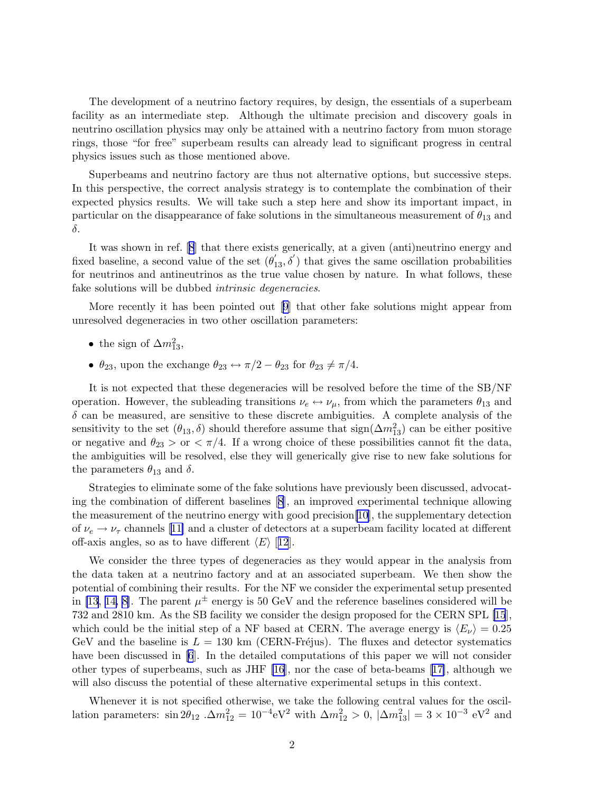The development of a neutrino factory requires, by design, the essentials of a superbeam facility as an intermediate step. Although the ultimate precision and discovery goals in neutrino oscillation physics may only be attained with a neutrino factory from muon storage rings, those "for free" superbeam results can already lead to significant progress in central physics issues such as those mentioned above.

Superbeams and neutrino factory are thus not alternative options, but successive steps. In this perspective, the correct analysis strategy is to contemplate the combination of their expected physics results. We will take such a step here and show its important impact, in particular on the disappearance of fake solutions in the simultaneous measurement of  $\theta_{13}$  and δ.

It was shown in ref.[[8](#page-19-0)] that there exists generically, at a given (anti)neutrino energy and fixed baseline, a second value of the set  $(\theta'_{13}, \delta')$  that gives the same oscillation probabilities for neutrinos and antineutrinos as the true value chosen by nature. In what follows, these fake solutions will be dubbed intrinsic degeneracies.

More recently it has been pointed out[[9](#page-19-0)] that other fake solutions might appear from unresolved degeneracies in two other oscillation parameters:

- the sign of  $\Delta m_{13}^2$ ,
- $\theta_{23}$ , upon the exchange  $\theta_{23} \leftrightarrow \pi/2 \theta_{23}$  for  $\theta_{23} \neq \pi/4$ .

It is not expected that these degeneracies will be resolved before the time of the SB/NF operation. However, the subleading transitions  $\nu_e \leftrightarrow \nu_\mu$ , from which the parameters  $\theta_{13}$  and  $\delta$  can be measured, are sensitive to these discrete ambiguities. A complete analysis of the sensitivity to the set  $(\theta_{13}, \delta)$  should therefore assume that  $sign(\Delta m_{13}^2)$  can be either positive or negative and  $\theta_{23} > \text{or } \frac{1}{4}$ . If a wrong choice of these possibilities cannot fit the data, the ambiguities will be resolved, else they will generically give rise to new fake solutions for the parameters  $\theta_{13}$  and  $\delta$ .

Strategies to eliminate some of the fake solutions have previously been discussed, advocating the combination of different baselines[[8](#page-19-0)], an improved experimental technique allowing the measurement of the neutrino energy with good precision[\[10](#page-19-0)], the supplementary detection of $\nu_e \rightarrow \nu_\tau$  channels [[11\]](#page-19-0) and a cluster of detectors at a superbeam facility located at different off-axis angles, so as to have different  $\langle E \rangle$  [[12](#page-19-0)].

We consider the three types of degeneracies as they would appear in the analysis from the data taken at a neutrino factory and at an associated superbeam. We then show the potential of combining their results. For the NF we consider the experimental setup presented in [\[13](#page-19-0), [14, 8\]](#page-19-0). The parent  $\mu^{\pm}$  energy is 50 GeV and the reference baselines considered will be 732 and 2810 km. As the SB facility we consider the design proposed for the CERN SPL [\[15](#page-19-0)], which could be the initial step of a NF based at CERN. The average energy is  $\langle E_{\nu} \rangle = 0.25$ GeV and the baseline is  $L = 130 \text{ km}$  (CERN-Fréjus). The fluxes and detector systematics have been discussed in [\[6](#page-19-0)]. In the detailed computations of this paper we will not consider other types of superbeams, such as JHF [\[16](#page-19-0)], nor the case of beta-beams[[17\]](#page-19-0), although we will also discuss the potential of these alternative experimental setups in this context.

Whenever it is not specified otherwise, we take the following central values for the oscillation parameters:  $\sin 2\theta_{12}$ .  $\Delta m_{12}^2 = 10^{-4} \text{eV}^2$  with  $\Delta m_{12}^2 > 0$ ,  $|\Delta m_{13}^2| = 3 \times 10^{-3} \text{ eV}^2$  and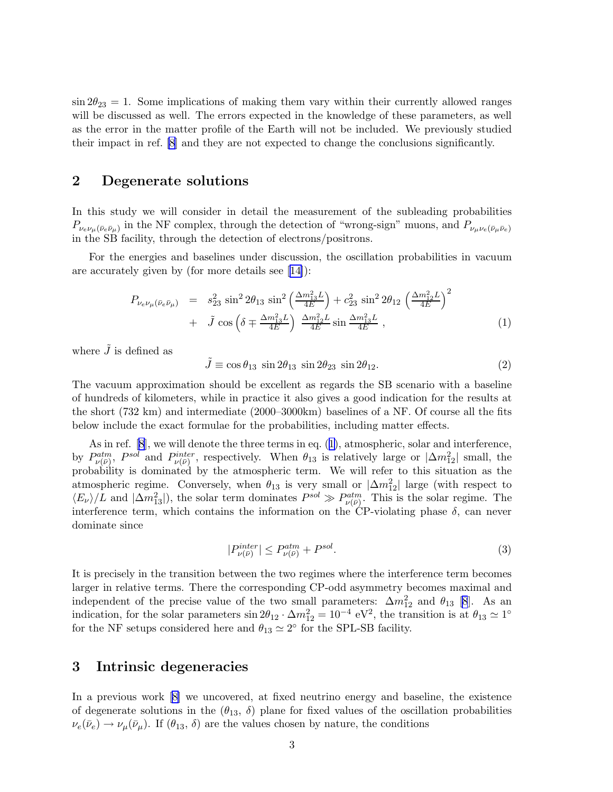<span id="page-2-0"></span> $\sin 2\theta_{23} = 1$ . Some implications of making them vary within their currently allowed ranges will be discussed as well. The errors expected in the knowledge of these parameters, as well as the error in the matter profile of the Earth will not be included. We previously studied their impact in ref. [\[8\]](#page-19-0) and they are not expected to change the conclusions significantly.

### 2 Degenerate solutions

In this study we will consider in detail the measurement of the subleading probabilities  $P_{\nu_e\nu_\mu(\bar{\nu}_e\bar{\nu}_\mu)}$  in the NF complex, through the detection of "wrong-sign" muons, and  $P_{\nu_\mu\nu_e(\bar{\nu}_\mu\bar{\nu}_e)}$ in the SB facility, through the detection of electrons/positrons.

For the energies and baselines under discussion, the oscillation probabilities in vacuum are accurately given by (for more details see[[14\]](#page-19-0)):

$$
P_{\nu_e \nu_\mu (\bar{\nu}_e \bar{\nu}_\mu)} = s_{23}^2 \sin^2 2\theta_{13} \sin^2 \left(\frac{\Delta m_{13}^2 L}{4E}\right) + c_{23}^2 \sin^2 2\theta_{12} \left(\frac{\Delta m_{12}^2 L}{4E}\right)^2 + \tilde{J} \cos \left(\delta \mp \frac{\Delta m_{13}^2 L}{4E}\right) \frac{\Delta m_{12}^2 L}{4E} \sin \frac{\Delta m_{13}^2 L}{4E}, \qquad (1)
$$

where  $\tilde{J}$  is defined as

 $\tilde{J} \equiv \cos \theta_{13} \sin 2\theta_{13} \sin 2\theta_{23} \sin 2\theta_{12}.$ (2)

The vacuum approximation should be excellent as regards the SB scenario with a baseline of hundreds of kilometers, while in practice it also gives a good indication for the results at the short (732 km) and intermediate (2000–3000km) baselines of a NF. Of course all the fits below include the exact formulae for the probabilities, including matter effects.

As in ref.[[8](#page-19-0)], we will denote the three terms in eq. (1), atmospheric, solar and interference, by  $P_{\nu(\bar{\nu})}^{atm}$ ,  $P^{sol}$  and  $P_{\nu(\bar{\nu})}^{inter}$ , respectively. When  $\theta_{13}$  is relatively large or  $|\Delta m_{12}^2|$  small, the probability is dominated by the atmospheric term. We will refer to this situation as the atmospheric regime. Conversely, when  $\theta_{13}$  is very small or  $|\Delta m_{12}^2|$  large (with respect to  $\langle E_{\nu}\rangle/L$  and  $|\Delta m_{13}^2|$ , the solar term dominates  $P^{sol}\gg P_{\nu(\bar{\nu})}^{atm}$ . This is the solar regime. The interference term, which contains the information on the CP-violating phase  $\delta$ , can never dominate since

$$
|P_{\nu(\bar{\nu})}^{inter}| \le P_{\nu(\bar{\nu})}^{atm} + P^{sol}.
$$
\n
$$
(3)
$$

It is precisely in the transition between the two regimes where the interference term becomes larger in relative terms. There the corresponding CP-odd asymmetry becomes maximal and independent of the precise value of the two small parameters:  $\Delta m_{12}^2$  and  $\theta_{13}$  [\[8](#page-19-0)]. As an indication, for the solar parameters  $\sin 2\theta_{12} \cdot \Delta m_{12}^2 = 10^{-4} \text{ eV}^2$ , the transition is at  $\theta_{13} \simeq 1^{\circ}$ for the NF setups considered here and  $\theta_{13} \simeq 2^{\circ}$  for the SPL-SB facility.

### 3 Intrinsic degeneracies

In a previous work [\[8\]](#page-19-0) we uncovered, at fixed neutrino energy and baseline, the existence of degenerate solutions in the  $(\theta_{13}, \delta)$  plane for fixed values of the oscillation probabilities  $\nu_e(\bar{\nu}_e) \rightarrow \nu_\mu(\bar{\nu}_\mu)$ . If  $(\theta_{13}, \delta)$  are the values chosen by nature, the conditions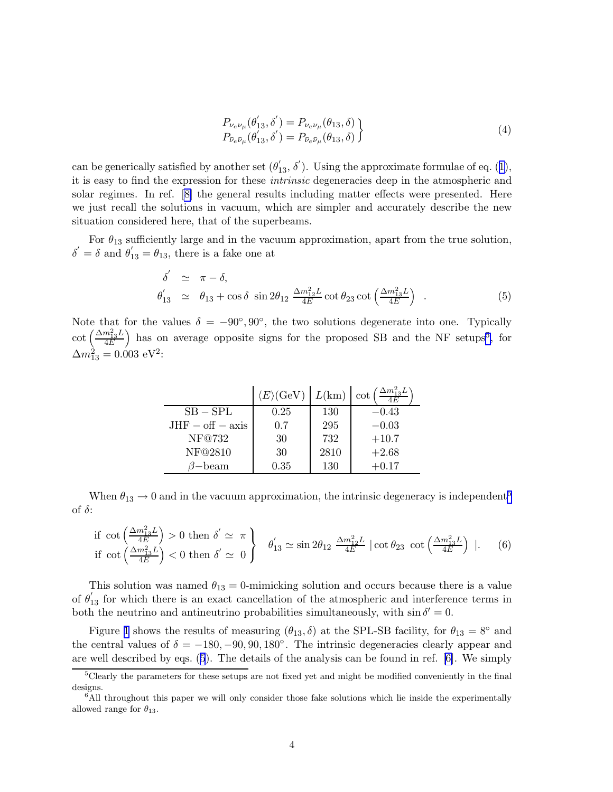$$
P_{\nu_e \nu_\mu}(\theta'_{13}, \delta') = P_{\nu_e \nu_\mu}(\theta_{13}, \delta) P_{\bar{\nu}_e \bar{\nu}_\mu}(\theta'_{13}, \delta') = P_{\bar{\nu}_e \bar{\nu}_\mu}(\theta_{13}, \delta)
$$
\n(4)

<span id="page-3-0"></span>can be generically satisfied by another set  $(\theta'_{13}, \delta')$  $(\theta'_{13}, \delta')$  $(\theta'_{13}, \delta')$ . Using the approximate formulae of eq. (1), it is easy to find the expression for these intrinsic degeneracies deep in the atmospheric and solar regimes. In ref. [\[8\]](#page-19-0) the general results including matter effects were presented. Here we just recall the solutions in vacuum, which are simpler and accurately describe the new situation considered here, that of the superbeams.

For  $\theta_{13}$  sufficiently large and in the vacuum approximation, apart from the true solution,  $\delta' = \delta$  and  $\theta'_{13} = \theta_{13}$ , there is a fake one at

$$
\delta' \simeq \pi - \delta,
$$
  
\n
$$
\theta'_{13} \simeq \theta_{13} + \cos \delta \sin 2\theta_{12} \frac{\Delta m_{12}^2 L}{4E} \cot \theta_{23} \cot \left(\frac{\Delta m_{13}^2 L}{4E}\right).
$$
 (5)

Note that for the values  $\delta = -90^{\circ}, 90^{\circ}$ , the two solutions degenerate into one. Typically  $\cot\left(\frac{\Delta m^2_{13}L}{4E}\right)$  $\frac{m_{13}^2 L}{4E}$  has on average opposite signs for the proposed SB and the NF setups<sup>5</sup>, for  $\Delta m_{13}^2 = 0.003 \text{ eV}^2$ :

|                    | $\langle E \rangle$ (GeV) | L(km) | $\Delta m_{13}^2 L$<br>$\cot$ |
|--------------------|---------------------------|-------|-------------------------------|
| $SB - SPI$         | 0.25                      | 130   | $-0.43$                       |
| $JHF - off - axis$ | 0.7                       | 295   | $-0.03$                       |
| NF@732             | 30                        | 732   | $+10.7$                       |
| NF@2810            | 30                        | 2810  | $+2.68$                       |
| $\beta$ —beam      | 0.35                      | 130   | $+0.17$                       |

When  $\theta_{13} \rightarrow 0$  and in the vacuum approximation, the intrinsic degeneracy is independent<sup>6</sup> of  $\delta$ :

if 
$$
\cot\left(\frac{\Delta m_{13}^2 L}{4E}\right) > 0
$$
 then  $\delta' \simeq \pi$   
if  $\cot\left(\frac{\Delta m_{13}^2 L}{4E}\right) < 0$  then  $\delta' \simeq 0$ 
$$
\begin{cases} \theta'_{13} \simeq \sin 2\theta_{12} \frac{\Delta m_{12}^2 L}{4E} \mid \cot \theta_{23} \cot\left(\frac{\Delta m_{13}^2 L}{4E}\right) \mid. \end{cases}
$$
(6)

This solution was named  $\theta_{13} = 0$ -mimicking solution and occurs because there is a value of  $\theta'_{13}$  for which there is an exact cancellation of the atmospheric and interference terms in both the neutrino and antineutrino probabilities simultaneously, with  $\sin \delta' = 0$ .

Figure [1](#page-4-0) shows the results of measuring  $(\theta_{13}, \delta)$  at the SPL-SB facility, for  $\theta_{13} = 8^\circ$  and the central values of  $\delta = -180, -90, 90, 180°$ . The intrinsic degeneracies clearly appear and are well described by eqs. (5). The details of the analysis can be found in ref. [\[6\]](#page-19-0). We simply

 $5C$ learly the parameters for these setups are not fixed yet and might be modified conveniently in the final designs.

 $6$ All throughout this paper we will only consider those fake solutions which lie inside the experimentally allowed range for  $\theta_{13}$ .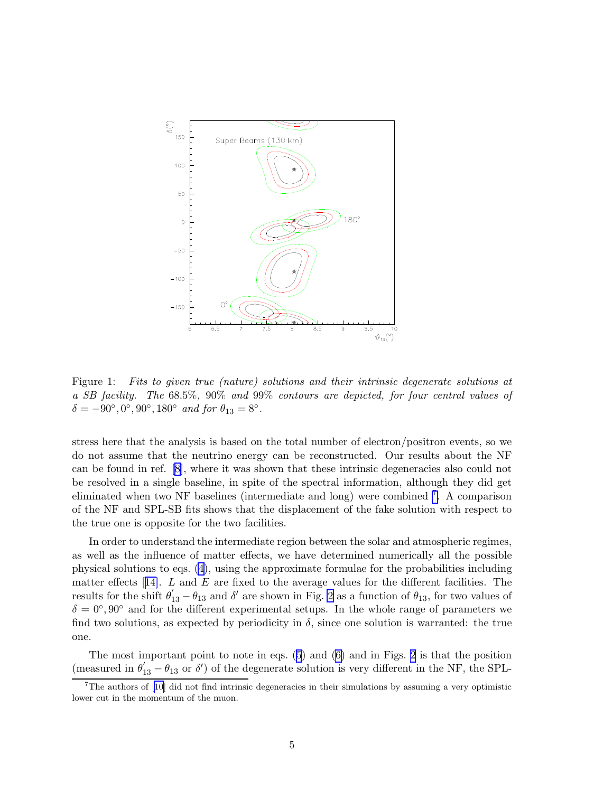<span id="page-4-0"></span>

Figure 1: Fits to given true (nature) solutions and their intrinsic degenerate solutions at a SB facility. The 68.5%, 90% and 99% contours are depicted, for four central values of  $\delta = -90^{\circ}, 0^{\circ}, 90^{\circ}, 180^{\circ}$  and for  $\theta_{13} = 8^{\circ}$ .

stress here that the analysis is based on the total number of electron/positron events, so we do not assume that the neutrino energy can be reconstructed. Our results about the NF can be found in ref.[[8](#page-19-0)], where it was shown that these intrinsic degeneracies also could not be resolved in a single baseline, in spite of the spectral information, although they did get eliminated when two NF baselines (intermediate and long) were combined <sup>7</sup>. A comparison of the NF and SPL-SB fits shows that the displacement of the fake solution with respect to the true one is opposite for the two facilities.

In order to understand the intermediate region between the solar and atmospheric regimes, as well as the influence of matter effects, we have determined numerically all the possible physical solutions to eqs. [\(4\)](#page-3-0), using the approximate formulae for the probabilities including mattereffects  $[14]$  $[14]$ . L and E are fixed to the average values for the different facilities. The results for the shift  $\theta'_{13} - \theta_{13}$  and  $\delta'$  are shown in Fig. [2](#page-5-0) as a function of  $\theta_{13}$ , for two values of  $\delta = 0^{\circ}, 90^{\circ}$  and for the different experimental setups. In the whole range of parameters we find two solutions, as expected by periodicity in  $\delta$ , since one solution is warranted: the true one.

The most important point to note in eqs. [\(5](#page-3-0)) and [\(6\)](#page-3-0) and in Figs. [2](#page-5-0) is that the position (measured in  $\theta'_{13} - \theta_{13}$  or  $\delta'$ ) of the degenerate solution is very different in the NF, the SPL-

 $7$ The authors of [\[10](#page-19-0)] did not find intrinsic degeneracies in their simulations by assuming a very optimistic lower cut in the momentum of the muon.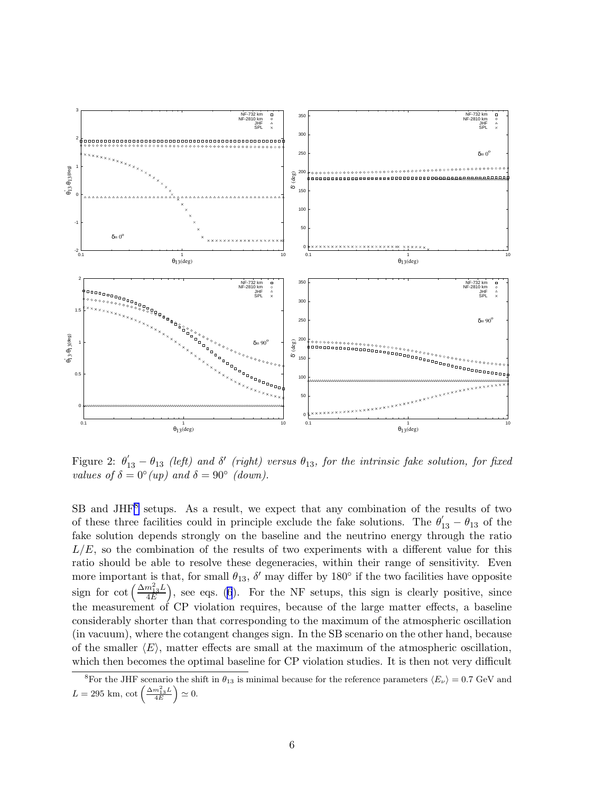<span id="page-5-0"></span>

Figure 2:  $\theta'_{13} - \theta_{13}$  (left) and  $\delta'$  (right) versus  $\theta_{13}$ , for the intrinsic fake solution, for fixed values of  $\delta = 0^{\circ}(up)$  and  $\delta = 90^{\circ}$  (down).

SB and JHF<sup>8</sup> setups. As a result, we expect that any combination of the results of two of these three facilities could in principle exclude the fake solutions. The  $\theta'_{13} - \theta_{13}$  of the fake solution depends strongly on the baseline and the neutrino energy through the ratio  $L/E$ , so the combination of the results of two experiments with a different value for this ratio should be able to resolve these degeneracies, within their range of sensitivity. Even more important is that, for small  $\theta_{13}$ ,  $\delta'$  may differ by 180 $\degree$  if the two facilities have opposite sign for cot  $\left(\frac{\Delta m_{13}^2 L}{4E}\right)$  $\frac{m_{13}^2 L}{4E}$ , see eqs. [\(6](#page-3-0)). For the NF setups, this sign is clearly positive, since the measurement of CP violation requires, because of the large matter effects, a baseline considerably shorter than that corresponding to the maximum of the atmospheric oscillation (in vacuum), where the cotangent changes sign. In the SB scenario on the other hand, because of the smaller  $\langle E \rangle$ , matter effects are small at the maximum of the atmospheric oscillation, which then becomes the optimal baseline for CP violation studies. It is then not very difficult

<sup>&</sup>lt;sup>8</sup>For the JHF scenario the shift in  $\theta_{13}$  is minimal because for the reference parameters  $\langle E_{\nu} \rangle = 0.7$  GeV and  $L = 295$  km,  $\cot\left(\frac{\Delta m_{13}^2 L}{4E}\right) \simeq 0.$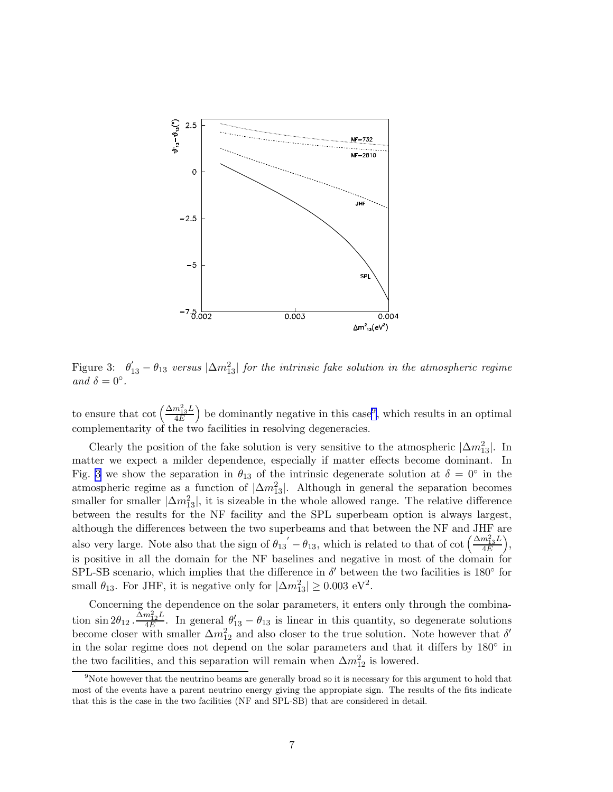

Figure 3:  $\theta'_{13} - \theta_{13}$  versus  $|\Delta m_{13}^2|$  for the intrinsic fake solution in the atmospheric regime and  $\delta = 0^{\circ}$ .

to ensure that  $\cot\left(\frac{\Delta m_{13}^2 L}{4E}\right)$  $\left(\frac{m_{13}^2 L}{4E}\right)$  be dominantly negative in this case<sup>9</sup>, which results in an optimal complementarity of the two facilities in resolving degeneracies.

Clearly the position of the fake solution is very sensitive to the atmospheric  $|\Delta m_{13}^2|$ . In matter we expect a milder dependence, especially if matter effects become dominant. In Fig. 3 we show the separation in  $\theta_{13}$  of the intrinsic degenerate solution at  $\delta = 0^{\circ}$  in the atmospheric regime as a function of  $|\Delta m_{13}^2|$ . Although in general the separation becomes smaller for smaller  $|\Delta m_{13}^2|$ , it is sizeable in the whole allowed range. The relative difference between the results for the NF facility and the SPL superbeam option is always largest, although the differences between the two superbeams and that between the NF and JHF are also very large. Note also that the sign of  $\theta_{13}' - \theta_{13}$ , which is related to that of cot  $\left(\frac{\Delta m_{13}^2 L}{4E}\right)$  $\frac{m_{13}^2 L}{4E}\Big),$ is positive in all the domain for the NF baselines and negative in most of the domain for SPL-SB scenario, which implies that the difference in  $\delta'$  between the two facilities is 180 $^{\circ}$  for small  $\theta_{13}$ . For JHF, it is negative only for  $|\Delta m_{13}^2| \ge 0.003 \text{ eV}^2$ .

Concerning the dependence on the solar parameters, it enters only through the combination  $\sin 2\theta_{12} \cdot \frac{\widetilde{\Delta} m_{12}^2 L}{4E}$  $\frac{m_{12}^2 L}{4E}$ . In general  $\theta'_{13} - \theta_{13}$  is linear in this quantity, so degenerate solutions become closer with smaller  $\Delta m_{12}^2$  and also closer to the true solution. Note however that  $\delta'$ in the solar regime does not depend on the solar parameters and that it differs by  $180^\circ$  in the two facilities, and this separation will remain when  $\Delta m_{12}^2$  is lowered.

<sup>&</sup>lt;sup>9</sup>Note however that the neutrino beams are generally broad so it is necessary for this argument to hold that most of the events have a parent neutrino energy giving the appropiate sign. The results of the fits indicate that this is the case in the two facilities (NF and SPL-SB) that are considered in detail.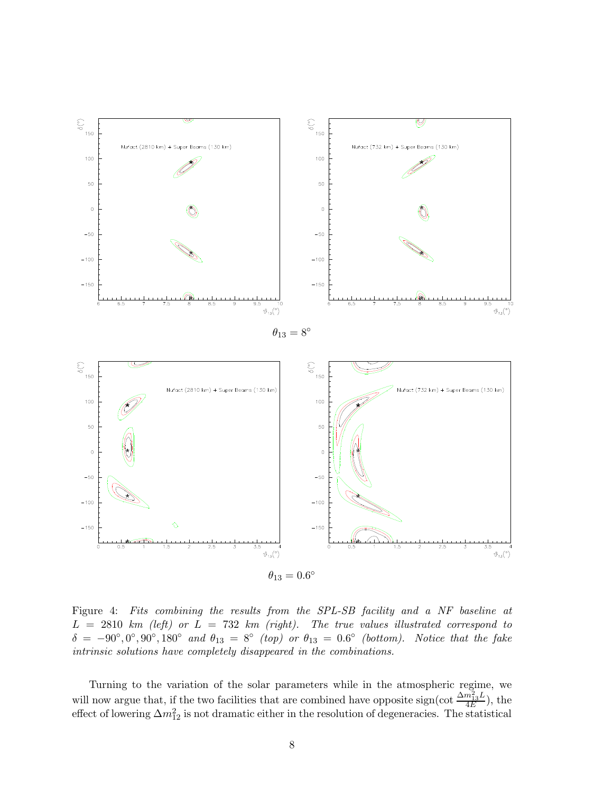<span id="page-7-0"></span>

Figure 4: Fits combining the results from the SPL-SB facility and a NF baseline at  $L = 2810$  km (left) or  $L = 732$  km (right). The true values illustrated correspond to  $\delta = -90^\circ, 0^\circ, 90^\circ, 180^\circ$  and  $\theta_{13} = 8^\circ$  (top) or  $\theta_{13} = 0.6^\circ$  (bottom). Notice that the fake intrinsic solutions have completely disappeared in the combinations.

Turning to the variation of the solar parameters while in the atmospheric regime, we will now argue that, if the two facilities that are combined have opposite sign(cot  $\frac{\Delta m_{13}^2 L}{4E}$  $\frac{n_{13}D}{4E}$ ), the effect of lowering  $\Delta m_{12}^2$  is not dramatic either in the resolution of degeneracies. The statistical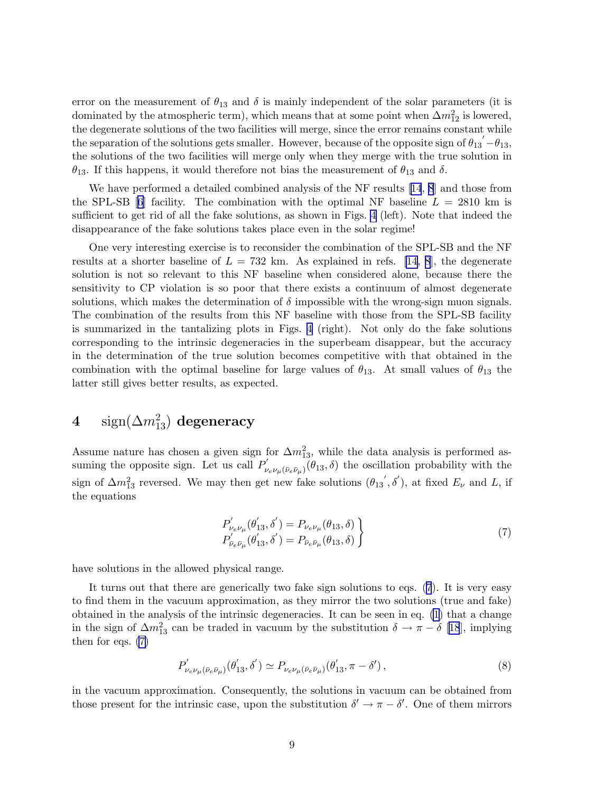<span id="page-8-0"></span>error on the measurement of  $\theta_{13}$  and  $\delta$  is mainly independent of the solar parameters (it is dominated by the atmospheric term), which means that at some point when  $\Delta m_{12}^2$  is lowered, the degenerate solutions of the two facilities will merge, since the error remains constant while the separation of the solutions gets smaller. However, because of the opposite sign of  $\theta_{13} - \theta_{13}$ , the solutions of the two facilities will merge only when they merge with the true solution in  $\theta_{13}$ . If this happens, it would therefore not bias the measurement of  $\theta_{13}$  and  $\delta$ .

We have performed a detailed combined analysis of the NF results[[14](#page-19-0), [8](#page-19-0)] and those from theSPL-SB [[6](#page-19-0)] facility. The combination with the optimal NF baseline  $L = 2810 \text{ km}$  is sufficient to get rid of all the fake solutions, as shown in Figs. [4](#page-7-0) (left). Note that indeed the disappearance of the fake solutions takes place even in the solar regime!

One very interesting exercise is to reconsider the combination of the SPL-SB and the NF results at a shorter baseline of  $L = 732$  km. As explained in refs. [\[14](#page-19-0), [8](#page-19-0)], the degenerate solution is not so relevant to this NF baseline when considered alone, because there the sensitivity to CP violation is so poor that there exists a continuum of almost degenerate solutions, which makes the determination of  $\delta$  impossible with the wrong-sign muon signals. The combination of the results from this NF baseline with those from the SPL-SB facility is summarized in the tantalizing plots in Figs. [4](#page-7-0) (right). Not only do the fake solutions corresponding to the intrinsic degeneracies in the superbeam disappear, but the accuracy in the determination of the true solution becomes competitive with that obtained in the combination with the optimal baseline for large values of  $\theta_{13}$ . At small values of  $\theta_{13}$  the latter still gives better results, as expected.

# $4 \quad \text{ sign}(\Delta m^2_{13}) \,\, \text{degeneracy}$

Assume nature has chosen a given sign for  $\Delta m_{13}^2$ , while the data analysis is performed assuming the opposite sign. Let us call  $P'_\nu$  $(\nu_e \nu_\mu (\bar{\nu}_e \bar{\nu}_\mu)$  ( $\theta_{13}, \delta)$  the oscillation probability with the sign of  $\Delta m_{13}^2$  reversed. We may then get new fake solutions  $(\theta_{13}, \delta')$ , at fixed  $E_\nu$  and L, if the equations

$$
P'_{\nu_e \nu_\mu}(\theta'_{13}, \delta') = P_{\nu_e \nu_\mu}(\theta_{13}, \delta) P'_{\bar{\nu}_e \bar{\nu}_\mu}(\theta'_{13}, \delta') = P_{\bar{\nu}_e \bar{\nu}_\mu}(\theta_{13}, \delta) \tag{7}
$$

have solutions in the allowed physical range.

It turns out that there are generically two fake sign solutions to eqs. (7). It is very easy to find them in the vacuum approximation, as they mirror the two solutions (true and fake) obtained in the analysis of the intrinsic degeneracies. It can be seen in eq. [\(1\)](#page-2-0) that a change in the sign of  $\Delta m_{13}^2$  can be traded in vacuum by the substitution  $\delta \to \pi - \delta$  [[18](#page-19-0)], implying then for eqs. (7)

$$
P'_{\nu_e \nu_\mu(\bar{\nu}_e \bar{\nu}_\mu)}(\theta'_{13}, \delta') \simeq P_{\nu_e \nu_\mu(\bar{\nu}_e \bar{\nu}_\mu)}(\theta'_{13}, \pi - \delta')\,,\tag{8}
$$

in the vacuum approximation. Consequently, the solutions in vacuum can be obtained from those present for the intrinsic case, upon the substitution  $\delta' \to \pi - \delta'$ . One of them mirrors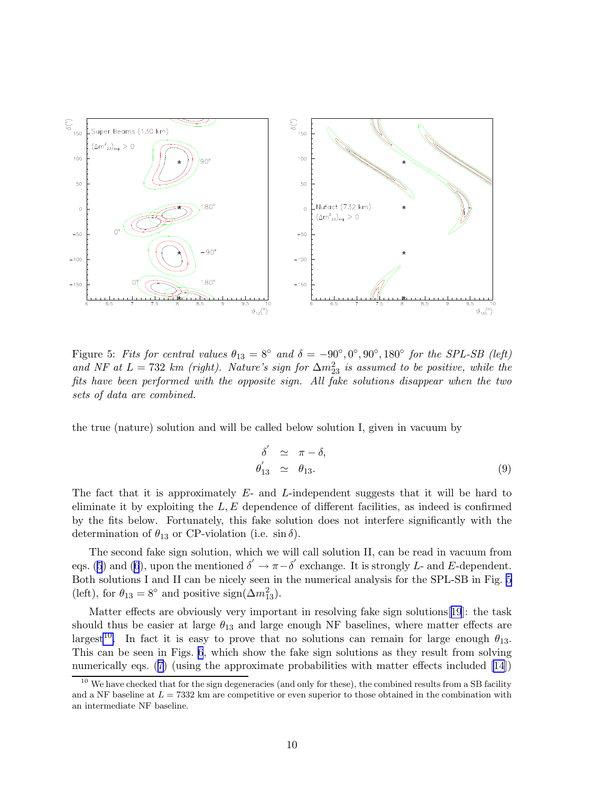<span id="page-9-0"></span>

Figure 5: Fits for central values  $\theta_{13} = 8^\circ$  and  $\delta = -90^\circ, 0^\circ, 90^\circ, 180^\circ$  for the SPL-SB (left) and NF at  $L = 732$  km (right). Nature's sign for  $\Delta m_{23}^2$  is assumed to be positive, while the fits have been performed with the opposite sign. All fake solutions disappear when the two sets of data are combined.

the true (nature) solution and will be called below solution I, given in vacuum by

$$
\delta' \simeq \pi - \delta, \n\theta'_{13} \simeq \theta_{13}.
$$
\n(9)

The fact that it is approximately E- and L-independent suggests that it will be hard to eliminate it by exploiting the  $L, E$  dependence of different facilities, as indeed is confirmed by the fits below. Fortunately, this fake solution does not interfere significantly with the determination of  $\theta_{13}$  or CP-violation (i.e.  $\sin \delta$ ).

The second fake sign solution, which we will call solution II, can be read in vacuum from eqs. ([5](#page-3-0)) and [\(6](#page-3-0)), upon the mentioned  $\delta' \to \pi - \delta'$  exchange. It is strongly L- and E-dependent. Both solutions I and II can be nicely seen in the numerical analysis for the SPL-SB in Fig. 5 (left), for  $\theta_{13} = 8^{\circ}$  and positive sign( $\Delta m_{13}^2$ ).

Matter effects are obviously very important in resolving fake sign solutions[[19](#page-19-0)]: the task should thus be easier at large  $\theta_{13}$  and large enough NF baselines, where matter effects are largest<sup>10</sup>. In fact it is easy to prove that no solutions can remain for large enough  $\theta_{13}$ . This can be seen in Figs. [6](#page-10-0), which show the fake sign solutions as they result from solving numerically eqs. ([7](#page-8-0)) (using the approximate probabilities with matter effects included [\[14](#page-19-0)])

<sup>&</sup>lt;sup>10</sup> We have checked that for the sign degeneracies (and only for these), the combined results from a SB facility and a NF baseline at  $L = 7332$  km are competitive or even superior to those obtained in the combination with an intermediate NF baseline.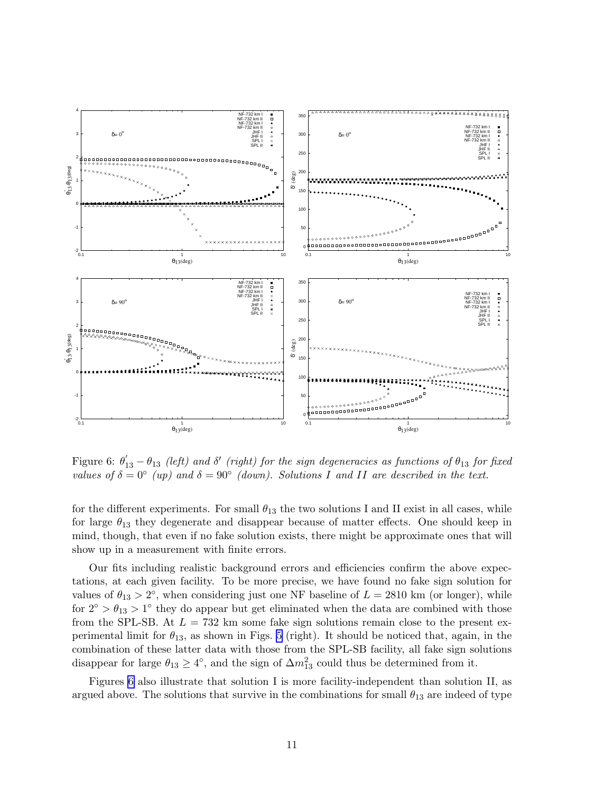<span id="page-10-0"></span>

Figure 6:  $\theta'_{13} - \theta_{13}$  (left) and  $\delta'$  (right) for the sign degeneracies as functions of  $\theta_{13}$  for fixed values of  $\delta = 0^{\circ}$  (up) and  $\delta = 90^{\circ}$  (down). Solutions I and II are described in the text.

for the different experiments. For small  $\theta_{13}$  the two solutions I and II exist in all cases, while for large  $\theta_{13}$  they degenerate and disappear because of matter effects. One should keep in mind, though, that even if no fake solution exists, there might be approximate ones that will show up in a measurement with finite errors.

Our fits including realistic background errors and efficiencies confirm the above expectations, at each given facility. To be more precise, we have found no fake sign solution for values of  $\theta_{13} > 2^{\circ}$ , when considering just one NF baseline of  $L = 2810$  km (or longer), while for  $2^{\circ} > \theta_{13} > 1^{\circ}$  they do appear but get eliminated when the data are combined with those from the SPL-SB. At  $L = 732$  km some fake sign solutions remain close to the present experimental limit for  $\theta_{13}$ , as shown in Figs. [5](#page-9-0) (right). It should be noticed that, again, in the combination of these latter data with those from the SPL-SB facility, all fake sign solutions disappear for large  $\theta_{13} \geq 4^{\circ}$ , and the sign of  $\Delta m_{13}^2$  could thus be determined from it.

Figures 6 also illustrate that solution I is more facility-independent than solution II, as argued above. The solutions that survive in the combinations for small  $\theta_{13}$  are indeed of type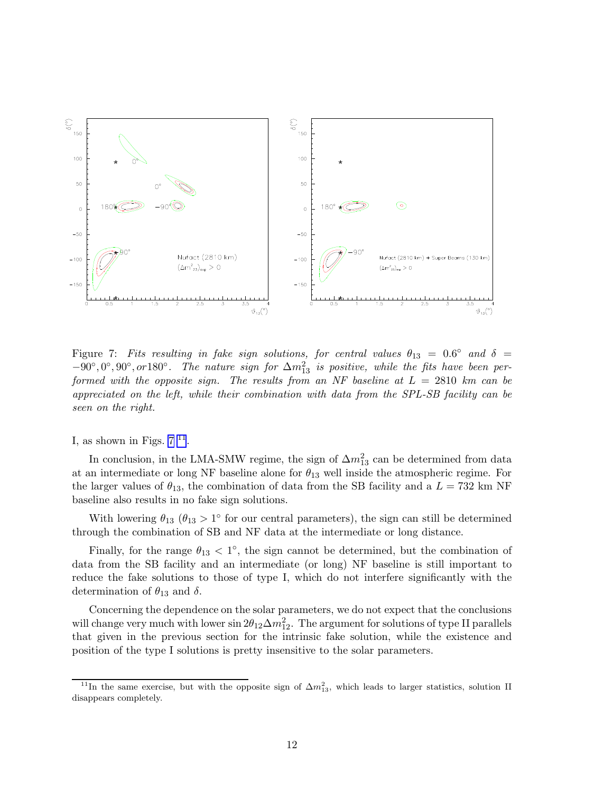<span id="page-11-0"></span>

Figure 7: Fits resulting in fake sign solutions, for central values  $\theta_{13} = 0.6^{\circ}$  and  $\delta =$  $-90^\circ, 0^\circ, 90^\circ, or 180^\circ$ . The nature sign for  $\Delta m_{13}^2$  is positive, while the fits have been performed with the opposite sign. The results from an NF baseline at  $L = 2810$  km can be appreciated on the left, while their combination with data from the SPL-SB facility can be seen on the right.

I, as shown in Figs.  $7<sup>11</sup>$ .

In conclusion, in the LMA-SMW regime, the sign of  $\Delta m_{13}^2$  can be determined from data at an intermediate or long NF baseline alone for  $\theta_{13}$  well inside the atmospheric regime. For the larger values of  $\theta_{13}$ , the combination of data from the SB facility and a  $L = 732$  km NF baseline also results in no fake sign solutions.

With lowering  $\theta_{13}$  ( $\theta_{13} > 1^{\circ}$  for our central parameters), the sign can still be determined through the combination of SB and NF data at the intermediate or long distance.

Finally, for the range  $\theta_{13}$  < 1°, the sign cannot be determined, but the combination of data from the SB facility and an intermediate (or long) NF baseline is still important to reduce the fake solutions to those of type I, which do not interfere significantly with the determination of  $\theta_{13}$  and  $\delta$ .

Concerning the dependence on the solar parameters, we do not expect that the conclusions will change very much with lower  $\sin 2\theta_{12}\Delta m_{12}^2$ . The argument for solutions of type II parallels that given in the previous section for the intrinsic fake solution, while the existence and position of the type I solutions is pretty insensitive to the solar parameters.

<sup>&</sup>lt;sup>11</sup>In the same exercise, but with the opposite sign of  $\Delta m_{13}^2$ , which leads to larger statistics, solution II disappears completely.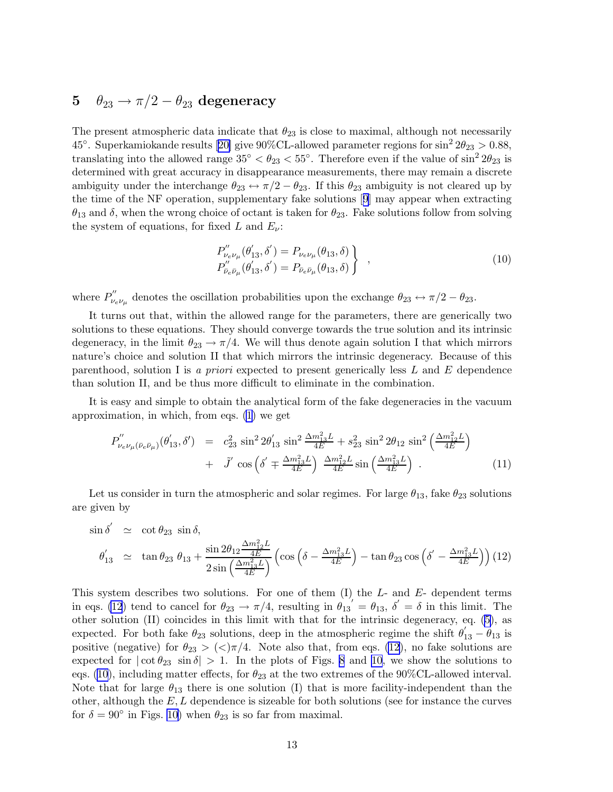## <span id="page-12-0"></span>5  $\theta_{23} \rightarrow \pi/2 - \theta_{23}$  degeneracy

The present atmospheric data indicate that  $\theta_{23}$  is close to maximal, although not necessarily 45°.Superkamiokande results [[20\]](#page-19-0) give 90%CL-allowed parameter regions for  $\sin^2 2\theta_{23} > 0.88$ , translating into the allowed range  $35^{\circ} < \theta_{23} < 55^{\circ}$ . Therefore even if the value of  $\sin^2 2\theta_{23}$  is determined with great accuracy in disappearance measurements, there may remain a discrete ambiguity under the interchange  $\theta_{23} \leftrightarrow \pi/2 - \theta_{23}$ . If this  $\theta_{23}$  ambiguity is not cleared up by the time of the NF operation, supplementary fake solutions[[9](#page-19-0)] may appear when extracting  $\theta_{13}$  and  $\delta$ , when the wrong choice of octant is taken for  $\theta_{23}$ . Fake solutions follow from solving the system of equations, for fixed L and  $E_{\nu}$ :

$$
P_{\nu_e \nu_\mu}''(\theta'_{13}, \delta') = P_{\nu_e \nu_\mu}(\theta_{13}, \delta) P_{\bar{\nu}_e \bar{\nu}_\mu}''(\theta'_{13}, \delta') = P_{\bar{\nu}_e \bar{\nu}_\mu}(\theta_{13}, \delta) \},
$$
\n(10)

where  $P_{\nu_e}^{''}$  $v_{e\nu_{\mu}}^{\prime\prime}$  denotes the oscillation probabilities upon the exchange  $\theta_{23} \leftrightarrow \pi/2 - \theta_{23}$ .

It turns out that, within the allowed range for the parameters, there are generically two solutions to these equations. They should converge towards the true solution and its intrinsic degeneracy, in the limit  $\theta_{23} \rightarrow \pi/4$ . We will thus denote again solution I that which mirrors nature's choice and solution II that which mirrors the intrinsic degeneracy. Because of this parenthood, solution I is a priori expected to present generically less L and E dependence than solution II, and be thus more difficult to eliminate in the combination.

It is easy and simple to obtain the analytical form of the fake degeneracies in the vacuum approximation, in which, from eqs. [\(1\)](#page-2-0) we get

$$
P''_{\nu_e \nu_\mu (\bar{\nu}_e \bar{\nu}_\mu)}(\theta'_{13}, \delta') = c_{23}^2 \sin^2 2\theta'_{13} \sin^2 \frac{\Delta m_{13}^2 L}{4E} + s_{23}^2 \sin^2 2\theta_{12} \sin^2 \left(\frac{\Delta m_{12}^2 L}{4E}\right) + \tilde{J}' \cos \left(\delta' \mp \frac{\Delta m_{13}^2 L}{4E}\right) \frac{\Delta m_{12}^2 L}{4E} \sin \left(\frac{\Delta m_{13}^2 L}{4E}\right)
$$
(11)

Let us consider in turn the atmospheric and solar regimes. For large  $\theta_{13}$ , fake  $\theta_{23}$  solutions are given by

$$
\sin \delta' \simeq \cot \theta_{23} \sin \delta,
$$
  
\n
$$
\theta'_{13} \simeq \tan \theta_{23} \theta_{13} + \frac{\sin 2\theta_{12} \frac{\Delta m_{12}^2 L}{4E}}{2 \sin \left(\frac{\Delta m_{13}^2 L}{4E}\right)} \left(\cos \left(\delta - \frac{\Delta m_{13}^2 L}{4E}\right) - \tan \theta_{23} \cos \left(\delta' - \frac{\Delta m_{13}^2 L}{4E}\right)\right)
$$
(12)

This system describes two solutions. For one of them  $(I)$  the  $L$ - and  $E$ - dependent terms in eqs. (12) tend to cancel for  $\theta_{23} \to \pi/4$ , resulting in  $\theta_{13} = \theta_{13}$ ,  $\delta' = \delta$  in this limit. The other solution (II) coincides in this limit with that for the intrinsic degeneracy, eq. [\(5\)](#page-3-0), as expected. For both fake  $\theta_{23}$  solutions, deep in the atmospheric regime the shift  $\theta'_{13} - \theta'_{13}$  is positive (negative) for  $\theta_{23} > \langle \langle \rangle \pi/4$ . Note also that, from eqs. (12), no fake solutions are expected for  $|\cot \theta_{23} \sin \delta| > 1$ . In the plots of Figs. [8](#page-13-0) and [10](#page-15-0), we show the solutions to eqs. (10), including matter effects, for  $\theta_{23}$  at the two extremes of the 90%CL-allowed interval. Note that for large  $\theta_{13}$  there is one solution (I) that is more facility-independent than the other, although the  $E, L$  dependence is sizeable for both solutions (see for instance the curves for  $\delta = 90^{\circ}$  in Figs. [10\)](#page-15-0) when  $\theta_{23}$  is so far from maximal.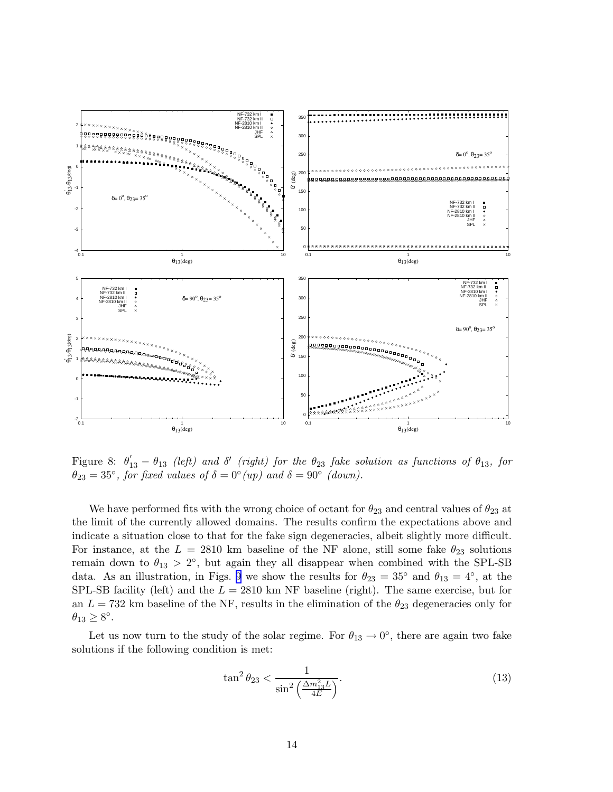<span id="page-13-0"></span>

Figure 8:  $\theta'_{13} - \theta_{13}$  (left) and  $\delta'$  (right) for the  $\theta_{23}$  fake solution as functions of  $\theta_{13}$ , for  $\theta_{23} = 35^{\circ}$ , for fixed values of  $\delta = 0^{\circ}(up)$  and  $\delta = 90^{\circ}$  (down).

We have performed fits with the wrong choice of octant for  $\theta_{23}$  and central values of  $\theta_{23}$  at the limit of the currently allowed domains. The results confirm the expectations above and indicate a situation close to that for the fake sign degeneracies, albeit slightly more difficult. For instance, at the  $L = 2810$  km baseline of the NF alone, still some fake  $\theta_{23}$  solutions remain down to  $\theta_{13} > 2^{\circ}$ , but again they all disappear when combined with the SPL-SB data. As an illustration, in Figs. [9](#page-14-0) we show the results for  $\theta_{23} = 35^{\circ}$  and  $\theta_{13} = 4^{\circ}$ , at the SPL-SB facility (left) and the  $L = 2810$  km NF baseline (right). The same exercise, but for an  $L = 732$  km baseline of the NF, results in the elimination of the  $\theta_{23}$  degeneracies only for  $\theta_{13} \geq 8^\circ.$ 

Let us now turn to the study of the solar regime. For  $\theta_{13} \rightarrow 0^{\circ}$ , there are again two fake solutions if the following condition is met:

$$
\tan^2 \theta_{23} < \frac{1}{\sin^2 \left(\frac{\Delta m_{13}^2 L}{4E}\right)}.\tag{13}
$$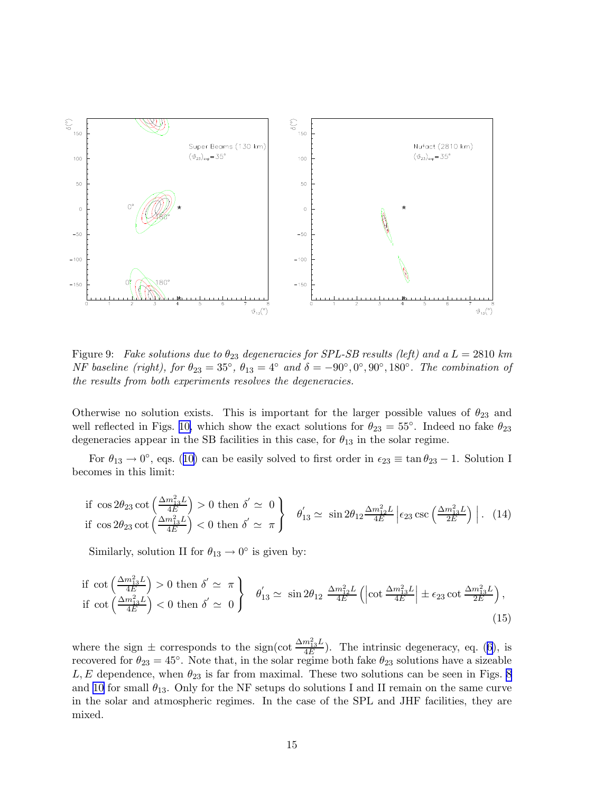<span id="page-14-0"></span>

Figure 9: Fake solutions due to  $\theta_{23}$  degeneracies for SPL-SB results (left) and a  $L = 2810 \; km$ NF baseline (right), for  $\theta_{23} = 35^\circ$ ,  $\theta_{13} = 4^\circ$  and  $\delta = -90^\circ, 0^\circ, 90^\circ, 180^\circ$ . The combination of the results from both experiments resolves the degeneracies.

Otherwise no solution exists. This is important for the larger possible values of  $\theta_{23}$  and well reflected in Figs. [10,](#page-15-0) which show the exact solutions for  $\theta_{23} = 55^{\circ}$ . Indeed no fake  $\theta_{23}$ degeneracies appear in the SB facilities in this case, for  $\theta_{13}$  in the solar regime.

For  $\theta_{13} \to 0^{\circ}$ , eqs. ([10\)](#page-12-0) can be easily solved to first order in  $\epsilon_{23} \equiv \tan \theta_{23} - 1$ . Solution I becomes in this limit:

if 
$$
\cos 2\theta_{23} \cot \left(\frac{\Delta m_{13}^2 L}{4E}\right) > 0
$$
 then  $\delta' \simeq 0$   
if  $\cos 2\theta_{23} \cot \left(\frac{\Delta m_{13}^2 L}{4E}\right) < 0$  then  $\delta' \simeq \pi$ 
$$
\begin{cases} \theta'_{13} \simeq \sin 2\theta_{12} \frac{\Delta m_{12}^2 L}{4E} \left| \epsilon_{23} \csc \left(\frac{\Delta m_{13}^2 L}{2E}\right) \right|. \end{cases}
$$
(14)

Similarly, solution II for  $\theta_{13} \rightarrow 0^{\circ}$  is given by:

if 
$$
\cot\left(\frac{\Delta m_{13}^2 L}{4E}\right) > 0
$$
 then  $\delta' \simeq \pi$   
if  $\cot\left(\frac{\Delta m_{13}^2 L}{4E}\right) < 0$  then  $\delta' \simeq 0$   
 $\theta'_{13} \simeq \sin 2\theta_{12} \frac{\Delta m_{12}^2 L}{4E} \left( \left| \cot \frac{\Delta m_{13}^2 L}{4E} \right| \pm \epsilon_{23} \cot \frac{\Delta m_{13}^2 L}{2E} \right),$  (15)

where the sign  $\pm$  corresponds to the sign(cot  $\frac{\Delta m_{13}^2 L}{4E}$  $\frac{m_{13}L}{4E}$ ). The intrinsic degeneracy, eq. ([6](#page-3-0)), is recovered for  $\theta_{23} = 45^\circ$ . Note that, in the solar regime both fake  $\theta_{23}$  solutions have a sizeable L, E dependence, when  $\theta_{23}$  is far from maximal. These two solutions can be seen in Figs. [8](#page-13-0) and [10](#page-15-0) for small  $\theta_{13}$ . Only for the NF setups do solutions I and II remain on the same curve in the solar and atmospheric regimes. In the case of the SPL and JHF facilities, they are mixed.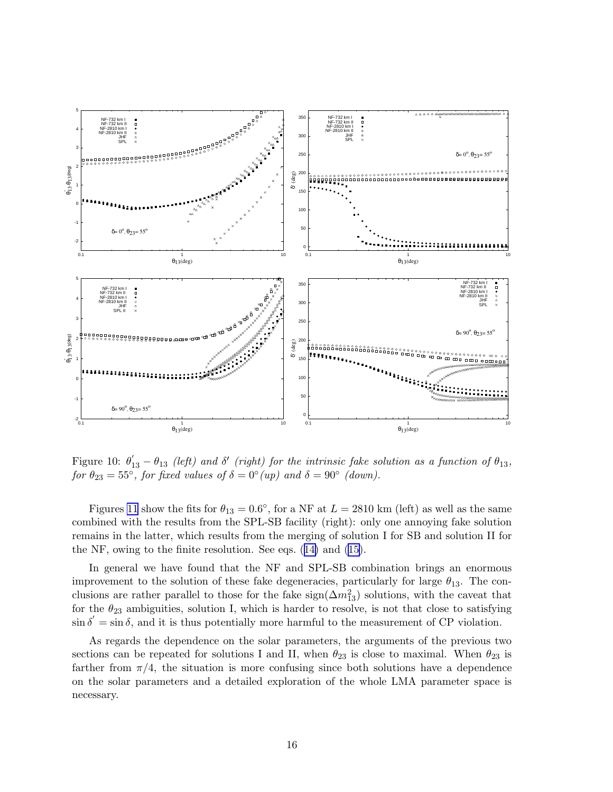<span id="page-15-0"></span>

Figure 10:  $\theta'_{13} - \theta_{13}$  (left) and  $\delta'$  (right) for the intrinsic fake solution as a function of  $\theta_{13}$ , for  $\theta_{23} = 55^{\circ}$ , for fixed values of  $\delta = 0^{\circ} (up)$  and  $\delta = 90^{\circ}$  (down).

Figures [11](#page-16-0) show the fits for  $\theta_{13} = 0.6^{\circ}$ , for a NF at  $L = 2810$  km (left) as well as the same combined with the results from the SPL-SB facility (right): only one annoying fake solution remains in the latter, which results from the merging of solution I for SB and solution II for the NF, owing to the finite resolution. See eqs. ([14\)](#page-14-0) and [\(15\)](#page-14-0).

In general we have found that the NF and SPL-SB combination brings an enormous improvement to the solution of these fake degeneracies, particularly for large  $\theta_{13}$ . The conclusions are rather parallel to those for the fake  $sign(\Delta m_{13}^2)$  solutions, with the caveat that for the  $\theta_{23}$  ambiguities, solution I, which is harder to resolve, is not that close to satisfying  $\sin \delta' = \sin \delta$ , and it is thus potentially more harmful to the measurement of CP violation.

As regards the dependence on the solar parameters, the arguments of the previous two sections can be repeated for solutions I and II, when  $\theta_{23}$  is close to maximal. When  $\theta_{23}$  is farther from  $\pi/4$ , the situation is more confusing since both solutions have a dependence on the solar parameters and a detailed exploration of the whole LMA parameter space is necessary.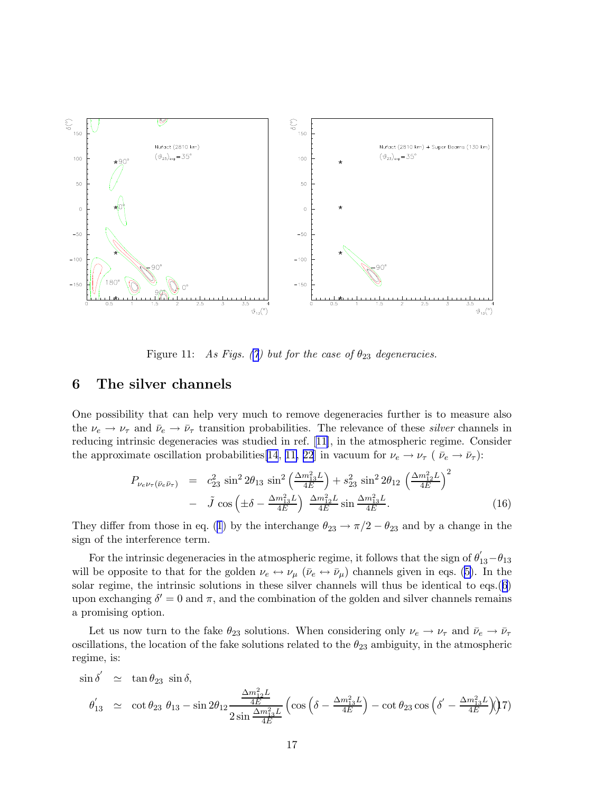<span id="page-16-0"></span>

Figure 11: As Figs. ([7](#page-11-0)) but for the case of  $\theta_{23}$  degeneracies.

### 6 The silver channels

One possibility that can help very much to remove degeneracies further is to measure also the  $\nu_e \rightarrow \nu_\tau$  and  $\bar{\nu}_e \rightarrow \bar{\nu}_\tau$  transition probabilities. The relevance of these *silver* channels in reducing intrinsic degeneracies was studied in ref.[[11\]](#page-19-0), in the atmospheric regime. Consider the approximate oscillation probabilities[\[14](#page-19-0), [11,](#page-19-0) [22](#page-20-0)] in vacuum for  $\nu_e \to \nu_\tau$  ( $\bar{\nu}_e \to \bar{\nu}_\tau$ ):

$$
P_{\nu_e \nu_\tau(\bar{\nu}_e \bar{\nu}_\tau)} = c_{23}^2 \sin^2 2\theta_{13} \sin^2 \left(\frac{\Delta m_{13}^2 L}{4E}\right) + s_{23}^2 \sin^2 2\theta_{12} \left(\frac{\Delta m_{12}^2 L}{4E}\right)^2
$$
  
-  $\tilde{J} \cos \left(\pm \delta - \frac{\Delta m_{13}^2 L}{4E}\right) \frac{\Delta m_{12}^2 L}{4E} \sin \frac{\Delta m_{13}^2 L}{4E}.$  (16)

They differ from those in eq. ([1](#page-2-0)) by the interchange  $\theta_{23} \rightarrow \pi/2 - \theta_{23}$  and by a change in the sign of the interference term.

For the intrinsic degeneracies in the atmospheric regime, it follows that the sign of  $\theta'_{13}-\theta_{13}$ will be opposite to that for the golden  $\nu_e \leftrightarrow \nu_\mu$  ( $\bar{\nu}_e \leftrightarrow \bar{\nu}_\mu$ ) channels given in eqs. [\(5\)](#page-3-0). In the solar regime, the intrinsic solutions in these silver channels will thus be identical to eqs.([6](#page-3-0)) upon exchanging  $\delta' = 0$  and  $\pi$ , and the combination of the golden and silver channels remains a promising option.

Let us now turn to the fake  $\theta_{23}$  solutions. When considering only  $\nu_e \to \nu_\tau$  and  $\bar{\nu}_e \to \bar{\nu}_\tau$ oscillations, the location of the fake solutions related to the  $\theta_{23}$  ambiguity, in the atmospheric regime, is:

$$
\sin \delta' \simeq \tan \theta_{23} \sin \delta,
$$
  
\n
$$
\theta'_{13} \simeq \cot \theta_{23} \theta_{13} - \sin 2\theta_{12} \frac{\frac{\Delta m_{12}^2 L}{4E}}{2 \sin \frac{\Delta m_{13}^2 L}{4E}} \left( \cos \left( \delta - \frac{\Delta m_{13}^2 L}{4E} \right) - \cot \theta_{23} \cos \left( \delta' - \frac{\Delta m_{13}^2 L}{4E} \right) \right) 7
$$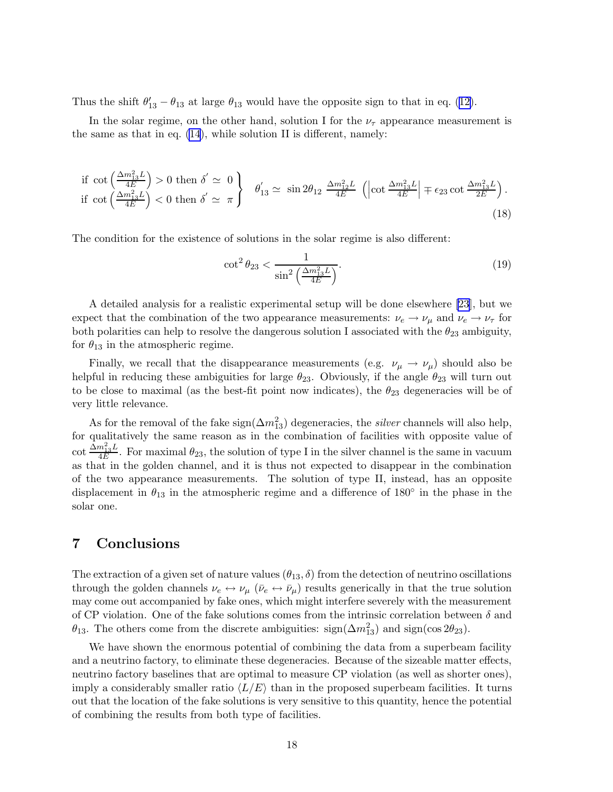Thus the shift  $\theta'_{13} - \theta_{13}$  at large  $\theta_{13}$  would have the opposite sign to that in eq. ([12\)](#page-12-0).

In the solar regime, on the other hand, solution I for the  $\nu_{\tau}$  appearance measurement is the same as that in eq. [\(14](#page-14-0)), while solution II is different, namely:

if 
$$
\cot\left(\frac{\Delta m_{13}^2 L}{4E}\right) > 0
$$
 then  $\delta' \simeq 0$   
if  $\cot\left(\frac{\Delta m_{13}^2 L}{4E}\right) < 0$  then  $\delta' \simeq \pi$ 
$$
\begin{cases}\n\theta'_{13} \simeq \sin 2\theta_{12} \frac{\Delta m_{12}^2 L}{4E} \left( \left| \cot \frac{\Delta m_{13}^2 L}{4E} \right| \mp \epsilon_{23} \cot \frac{\Delta m_{13}^2 L}{2E} \right).\n\end{cases}
$$
\n(18)

The condition for the existence of solutions in the solar regime is also different:

$$
\cot^2 \theta_{23} < \frac{1}{\sin^2 \left(\frac{\Delta m_{13}^2 L}{4E}\right)}.\tag{19}
$$

A detailed analysis for a realistic experimental setup will be done elsewhere [\[23](#page-20-0)], but we expect that the combination of the two appearance measurements:  $\nu_e \rightarrow \nu_\mu$  and  $\nu_e \rightarrow \nu_\tau$  for both polarities can help to resolve the dangerous solution I associated with the  $\theta_{23}$  ambiguity, for  $\theta_{13}$  in the atmospheric regime.

Finally, we recall that the disappearance measurements (e.g.  $\nu_{\mu} \rightarrow \nu_{\mu}$ ) should also be helpful in reducing these ambiguities for large  $\theta_{23}$ . Obviously, if the angle  $\theta_{23}$  will turn out to be close to maximal (as the best-fit point now indicates), the  $\theta_{23}$  degeneracies will be of very little relevance.

As for the removal of the fake  $sign(\Delta m_{13}^2)$  degeneracies, the *silver* channels will also help, for qualitatively the same reason as in the combination of facilities with opposite value of  $\cot\frac{\tilde{\Delta}m^2_{13}L}{4E}$  $\frac{m_{13}D}{4E}$ . For maximal  $\theta_{23}$ , the solution of type I in the silver channel is the same in vacuum as that in the golden channel, and it is thus not expected to disappear in the combination of the two appearance measurements. The solution of type II, instead, has an opposite displacement in  $\theta_{13}$  in the atmospheric regime and a difference of 180 $\degree$  in the phase in the solar one.

### 7 Conclusions

The extraction of a given set of nature values  $(\theta_{13}, \delta)$  from the detection of neutrino oscillations through the golden channels  $\nu_e \leftrightarrow \nu_\mu$  ( $\bar{\nu}_e \leftrightarrow \bar{\nu}_\mu$ ) results generically in that the true solution may come out accompanied by fake ones, which might interfere severely with the measurement of CP violation. One of the fake solutions comes from the intrinsic correlation between  $\delta$  and  $\theta_{13}$ . The others come from the discrete ambiguities: sign( $\Delta m_{13}^2$ ) and sign( $\cos 2\theta_{23}$ ).

We have shown the enormous potential of combining the data from a superbeam facility and a neutrino factory, to eliminate these degeneracies. Because of the sizeable matter effects, neutrino factory baselines that are optimal to measure CP violation (as well as shorter ones), imply a considerably smaller ratio  $\langle L/E \rangle$  than in the proposed superbeam facilities. It turns out that the location of the fake solutions is very sensitive to this quantity, hence the potential of combining the results from both type of facilities.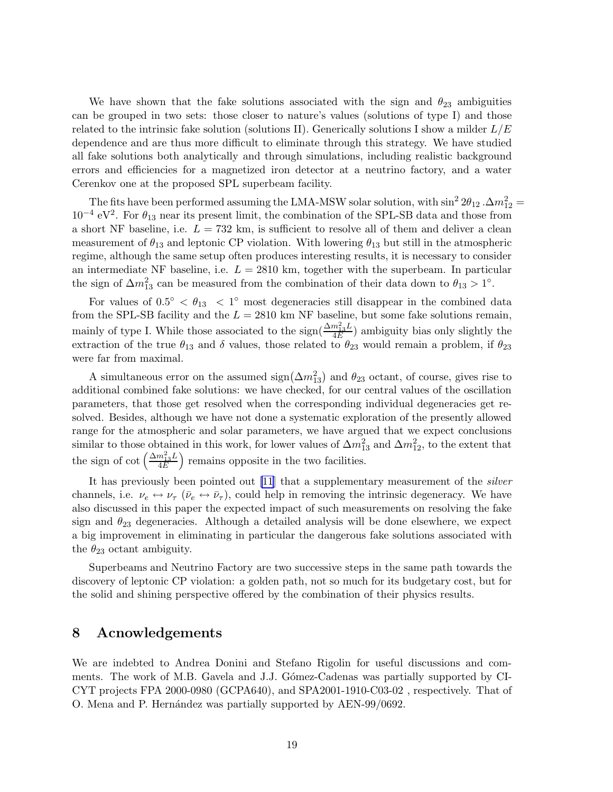We have shown that the fake solutions associated with the sign and  $\theta_{23}$  ambiguities can be grouped in two sets: those closer to nature's values (solutions of type I) and those related to the intrinsic fake solution (solutions II). Generically solutions I show a milder  $L/E$ dependence and are thus more difficult to eliminate through this strategy. We have studied all fake solutions both analytically and through simulations, including realistic background errors and efficiencies for a magnetized iron detector at a neutrino factory, and a water Cerenkov one at the proposed SPL superbeam facility.

The fits have been performed assuming the LMA-MSW solar solution, with  $\sin^2 2\theta_{12} \cdot \Delta m_{12}^2 =$  $10^{-4}$  eV<sup>2</sup>. For  $\theta_{13}$  near its present limit, the combination of the SPL-SB data and those from a short NF baseline, i.e.  $L = 732$  km, is sufficient to resolve all of them and deliver a clean measurement of  $\theta_{13}$  and leptonic CP violation. With lowering  $\theta_{13}$  but still in the atmospheric regime, although the same setup often produces interesting results, it is necessary to consider an intermediate NF baseline, i.e.  $L = 2810$  km, together with the superbeam. In particular the sign of  $\Delta m_{13}^2$  can be measured from the combination of their data down to  $\theta_{13} > 1^\circ$ .

For values of  $0.5^{\circ} < \theta_{13} < 1^{\circ}$  most degeneracies still disappear in the combined data from the SPL-SB facility and the  $L = 2810$  km NF baseline, but some fake solutions remain, mainly of type I. While those associated to the sign( $\frac{\Delta m_{13}^2 L}{4E}$  $\frac{m_{13}D}{4E}$ ) ambiguity bias only slightly the extraction of the true  $\theta_{13}$  and  $\delta$  values, those related to  $\theta_{23}$  would remain a problem, if  $\theta_{23}$ were far from maximal.

A simultaneous error on the assumed  $\text{sign}(\Delta m_{13}^2)$  and  $\theta_{23}$  octant, of course, gives rise to additional combined fake solutions: we have checked, for our central values of the oscillation parameters, that those get resolved when the corresponding individual degeneracies get resolved. Besides, although we have not done a systematic exploration of the presently allowed range for the atmospheric and solar parameters, we have argued that we expect conclusions similar to those obtained in this work, for lower values of  $\Delta m_{13}^2$  and  $\Delta m_{12}^2$ , to the extent that the sign of cot  $\left(\frac{\Delta m_{13}^2 L}{4E}\right)$  $\frac{m_{13}^2 L}{4E}$  remains opposite in the two facilities.

It has previously been pointed out [\[11](#page-19-0)] that a supplementary measurement of the *silver* channels, i.e.  $\nu_e \leftrightarrow \nu_\tau$  ( $\bar{\nu}_e \leftrightarrow \bar{\nu}_\tau$ ), could help in removing the intrinsic degeneracy. We have also discussed in this paper the expected impact of such measurements on resolving the fake sign and  $\theta_{23}$  degeneracies. Although a detailed analysis will be done elsewhere, we expect a big improvement in eliminating in particular the dangerous fake solutions associated with the  $\theta_{23}$  octant ambiguity.

Superbeams and Neutrino Factory are two successive steps in the same path towards the discovery of leptonic CP violation: a golden path, not so much for its budgetary cost, but for the solid and shining perspective offered by the combination of their physics results.

### 8 Acnowledgements

We are indebted to Andrea Donini and Stefano Rigolin for useful discussions and comments. The work of M.B. Gavela and J.J. Gómez-Cadenas was partially supported by CI-CYT projects FPA 2000-0980 (GCPA640), and SPA2001-1910-C03-02 , respectively. That of O. Mena and P. Hernández was partially supported by AEN-99/0692.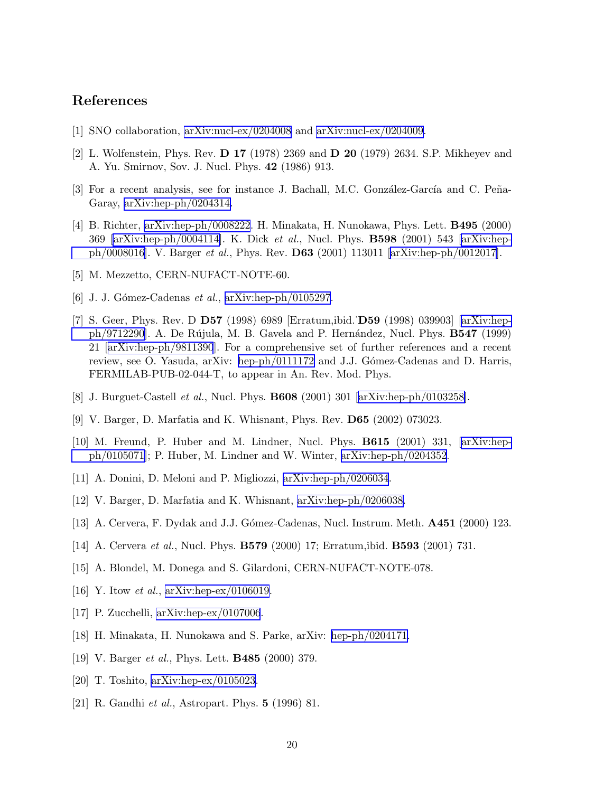### <span id="page-19-0"></span>References

- [1] SNO collaboration, [arXiv:nucl-ex/0204008](http://arXiv.org/abs/nucl-ex/0204008) and [arXiv:nucl-ex/0204009.](http://arXiv.org/abs/nucl-ex/0204009)
- [2] L. Wolfenstein, Phys. Rev. D 17 (1978) 2369 and D 20 (1979) 2634. S.P. Mikheyev and A. Yu. Smirnov, Sov. J. Nucl. Phys. 42 (1986) 913.
- [3] For a recent analysis, see for instance J. Bachall, M.C. González-García and C. Peña-Garay, [arXiv:hep-ph/0204314.](http://arXiv.org/abs/hep-ph/0204314)
- [4] B. Richter, [arXiv:hep-ph/0008222](http://arXiv.org/abs/hep-ph/0008222). H. Minakata, H. Nunokawa, Phys. Lett. B495 (2000) 369 [\[arXiv:hep-ph/0004114](http://arXiv.org/abs/hep-ph/0004114)]. K. Dick et al., Nucl. Phys. B598 (2001) 543 [\[arXiv:hep](http://arXiv.org/abs/hep-ph/0008016)[ph/0008016](http://arXiv.org/abs/hep-ph/0008016)]. V. Barger et al., Phys. Rev. D63 (2001) 113011 [\[arXiv:hep-ph/0012017\]](http://arXiv.org/abs/hep-ph/0012017).
- [5] M. Mezzetto, CERN-NUFACT-NOTE-60.
- [6] J. J. Gómez-Cadenas et al.,  $arXiv:hep-ph/0105297$ .
- [7] S. Geer, Phys. Rev. D D57 (1998) 6989 [Erratum,ibid.˙D59 (1998) 039903] [\[arXiv:hep](http://arXiv.org/abs/hep-ph/9712290)[ph/9712290](http://arXiv.org/abs/hep-ph/9712290)]. A. De Rújula, M. B. Gavela and P. Hernández, Nucl. Phys. **B547** (1999) 21[[arXiv:hep-ph/9811390](http://arXiv.org/abs/hep-ph/9811390)]. For a comprehensive set of further references and a recent review, see O. Yasuda, arXiv: [hep-ph/0111172](http://arXiv.org/abs/hep-ph/0111172) and J.J. Gómez-Cadenas and D. Harris, FERMILAB-PUB-02-044-T, to appear in An. Rev. Mod. Phys.
- [8] J. Burguet-Castell et al., Nucl. Phys. B608 (2001) 301[[arXiv:hep-ph/0103258\]](http://arXiv.org/abs/hep-ph/0103258).
- [9] V. Barger, D. Marfatia and K. Whisnant, Phys. Rev. D65 (2002) 073023.
- [10] M. Freund, P. Huber and M. Lindner, Nucl. Phys. B615 (2001) 331, [\[arXiv:hep](http://arXiv.org/abs/hep-ph/0105071)[ph/0105071](http://arXiv.org/abs/hep-ph/0105071)]; P. Huber, M. Lindner and W. Winter, [arXiv:hep-ph/0204352](http://arXiv.org/abs/hep-ph/0204352).
- [11] A. Donini, D. Meloni and P. Migliozzi, [arXiv:hep-ph/0206034](http://arXiv.org/abs/hep-ph/0206034).
- [12] V. Barger, D. Marfatia and K. Whisnant, [arXiv:hep-ph/0206038.](http://arXiv.org/abs/hep-ph/0206038)
- [13] A. Cervera, F. Dydak and J.J. Gómez-Cadenas, Nucl. Instrum. Meth. **A451** (2000) 123.
- [14] A. Cervera et al., Nucl. Phys. B579 (2000) 17; Erratum,ibid. B593 (2001) 731.
- [15] A. Blondel, M. Donega and S. Gilardoni, CERN-NUFACT-NOTE-078.
- [16] Y. Itow *et al.*, [arXiv:hep-ex/0106019](http://arXiv.org/abs/hep-ex/0106019).
- [17] P. Zucchelli, [arXiv:hep-ex/0107006](http://arXiv.org/abs/hep-ex/0107006).
- [18] H. Minakata, H. Nunokawa and S. Parke, arXiv: [hep-ph/0204171.](http://arXiv.org/abs/hep-ph/0204171)
- [19] V. Barger *et al.*, Phys. Lett. **B485** (2000) 379.
- [20] T. Toshito, [arXiv:hep-ex/0105023](http://arXiv.org/abs/hep-ex/0105023).
- [21] R. Gandhi et al., Astropart. Phys. 5 (1996) 81.